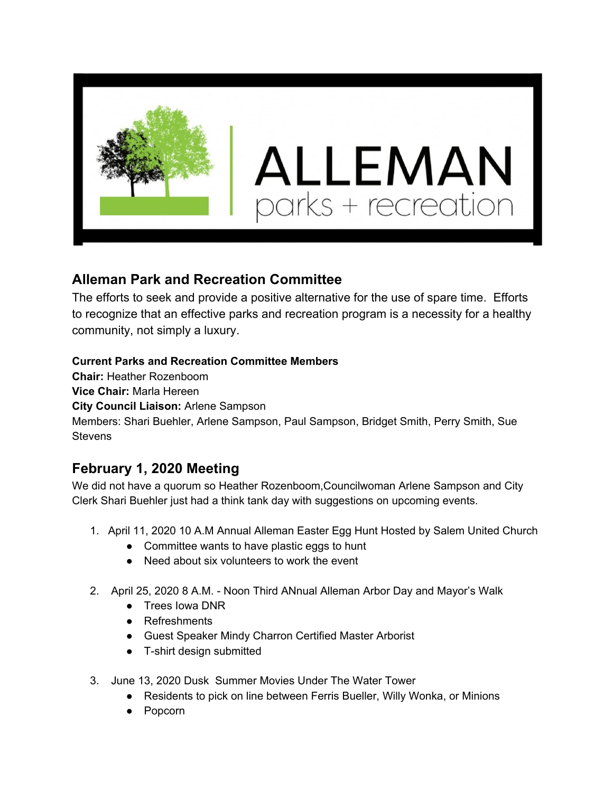

## **Alleman Park and Recreation Committee**

The efforts to seek and provide a positive alternative for the use of spare time. Efforts to recognize that an effective parks and recreation program is a necessity for a healthy community, not simply a luxury.

## **Current Parks and Recreation Committee Members**

**Chair:** Heather Rozenboom

**Vice Chair:** Marla Hereen

**City Council Liaison:** Arlene Sampson

Members: Shari Buehler, Arlene Sampson, Paul Sampson, Bridget Smith, Perry Smith, Sue **Stevens** 

## **February 1, 2020 Meeting**

We did not have a quorum so Heather Rozenboom,Councilwoman Arlene Sampson and City Clerk Shari Buehler just had a think tank day with suggestions on upcoming events.

- 1. April 11, 2020 10 A.M Annual Alleman Easter Egg Hunt Hosted by Salem United Church
	- Committee wants to have plastic eggs to hunt
	- Need about six volunteers to work the event
- 2. April 25, 2020 8 A.M. Noon Third ANnual Alleman Arbor Day and Mayor's Walk
	- Trees Iowa DNR
	- Refreshments
	- Guest Speaker Mindy Charron Certified Master Arborist
	- T-shirt design submitted
- 3. June 13, 2020 Dusk Summer Movies Under The Water Tower
	- Residents to pick on line between Ferris Bueller, Willy Wonka, or Minions
	- Popcorn